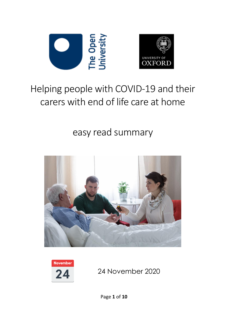



### Helping people with COVID-19 and their carers with end of life care at home

#### easy read summary



**November** 24

24 November 2020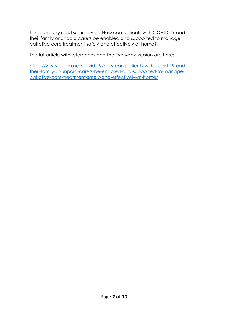This is an easy read summary of 'How can patients with COVID-19 and their family or unpaid carers be enabled and supported to manage palliative care treatment safely and effectively at home?'

The full article with references and the Everyday version are here:

[https://www.cebm.net/covid-19/how-can-patients-with-covid-19-and](https://www.cebm.net/covid-19/how-can-patients-with-covid-19-and-their-family-or-unpaid-carers-be-enabled-and-supported-to-manage-palliative-care-treatment-safely-and-effectively-at-home/)[their-family-or-unpaid-carers-be-enabled-and-supported-to-manage](https://www.cebm.net/covid-19/how-can-patients-with-covid-19-and-their-family-or-unpaid-carers-be-enabled-and-supported-to-manage-palliative-care-treatment-safely-and-effectively-at-home/)[palliative-care-treatment-safely-and-effectively-at-home/](https://www.cebm.net/covid-19/how-can-patients-with-covid-19-and-their-family-or-unpaid-carers-be-enabled-and-supported-to-manage-palliative-care-treatment-safely-and-effectively-at-home/)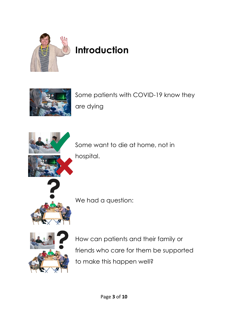

## **Introduction**



Some patients with COVID-19 know they are dying



Some want to die at home, not in hospital.



We had a question:



How can patients and their family or friends who care for them be supported to make this happen well?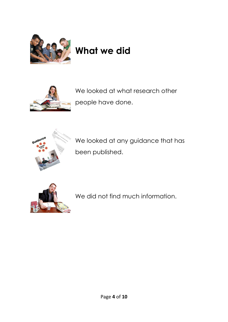

# **What we did**



We looked at what research other people have done.



We looked at any guidance that has been published.



We did not find much information.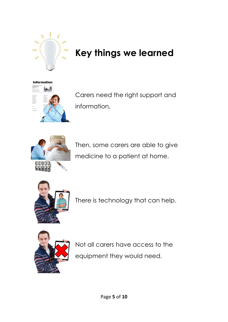

### **Key things we learned**



Carers need the right support and information,



Then, some carers are able to give medicine to a patient at home.



There is technology that can help.



Not all carers have access to the equipment they would need.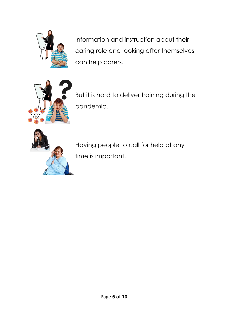

Information and instruction about their caring role and looking after themselves can help carers.



But it is hard to deliver training during the pandemic.



Having people to call for help at any time is important.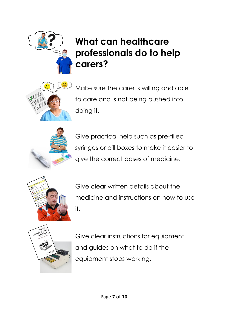### **What can healthcare professionals do to help carers?**



Make sure the carer is willing and able to care and is not being pushed into doing it.



Give practical help such as pre-filled syringes or pill boxes to make it easier to give the correct doses of medicine.



Give clear written details about the medicine and instructions on how to use it.



Give clear instructions for equipment and guides on what to do if the equipment stops working.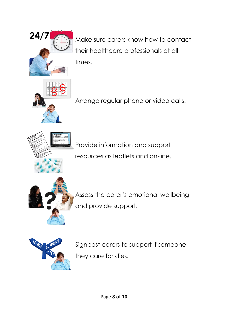

**24/7** Make sure carers know how to contact their healthcare professionals at all times.



Arrange regular phone or video calls.





Assess the carer's emotional wellbeing and provide support.



Signpost carers to support if someone they care for dies.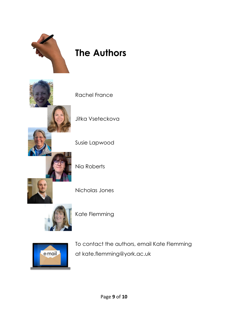

### **The Authors**

Rachel France

Jitka Vseteckova

Susie Lapwood

Nia Roberts

Nicholas Jones



Kate Flemming



To contact the authors, email Kate Flemming at kate.flemming@york.ac.uk